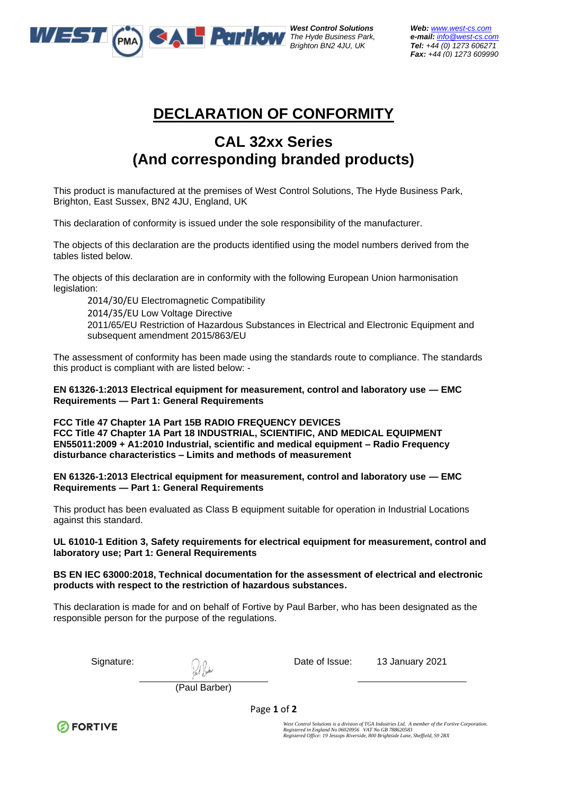

*West Control Solutions Web: [www.west-cs.com](http://www.west-cs.com/)* 

*The Hyde Business Park, e-mail: [info@west-cs.com](mailto:info@west-cs.com) Brighton BN2 4JU, UK Tel: +44 (0) 1273 606271 Fax: +44 (0) 1273 609990* 

## **DECLARATION OF CONFORMITY**

## **CAL 32xx Series (And corresponding branded products)**

This product is manufactured at the premises of West Control Solutions, The Hyde Business Park, Brighton, East Sussex, BN2 4JU, England, UK

This declaration of conformity is issued under the sole responsibility of the manufacturer.

The objects of this declaration are the products identified using the model numbers derived from the tables listed below.

The objects of this declaration are in conformity with the following European Union harmonisation legislation:

2014/30/EU Electromagnetic Compatibility

2014/35/EU Low Voltage Directive 2011/65/EU Restriction of Hazardous Substances in Electrical and Electronic Equipment and subsequent amendment 2015/863/EU

The assessment of conformity has been made using the standards route to compliance. The standards this product is compliant with are listed below: -

**EN 61326-1:2013 Electrical equipment for measurement, control and laboratory use — EMC Requirements — Part 1: General Requirements**

**FCC Title 47 Chapter 1A Part 15B RADIO FREQUENCY DEVICES FCC Title 47 Chapter 1A Part 18 INDUSTRIAL, SCIENTIFIC, AND MEDICAL EQUIPMENT EN55011:2009 + A1:2010 Industrial, scientific and medical equipment – Radio Frequency disturbance characteristics – Limits and methods of measurement**

**EN 61326-1:2013 Electrical equipment for measurement, control and laboratory use — EMC Requirements — Part 1: General Requirements**

This product has been evaluated as Class B equipment suitable for operation in Industrial Locations against this standard.

## **UL 61010-1 Edition 3, Safety requirements for electrical equipment for measurement, control and laboratory use; Part 1: General Requirements**

## **BS EN IEC 63000:2018, Technical documentation for the assessment of electrical and electronic products with respect to the restriction of hazardous substances.**

This declaration is made for and on behalf of Fortive by Paul Barber, who has been designated as the responsible person for the purpose of the regulations.

Signature: and C<sub>ho</sub> and Cho Cho Date of Issue: 13 January 2021

(Paul Barber)

Page **1** of **2**

**ØFORTIVE** 

West Control Solutions is a division of TGA Industries Ltd. A member of the Fortive Corporation.<br>Registered in England No 06020956 VAT No GB 788620583<br>Registered Office: 19 Jessops Riverside, 800 Brightside Lane, Sheffield